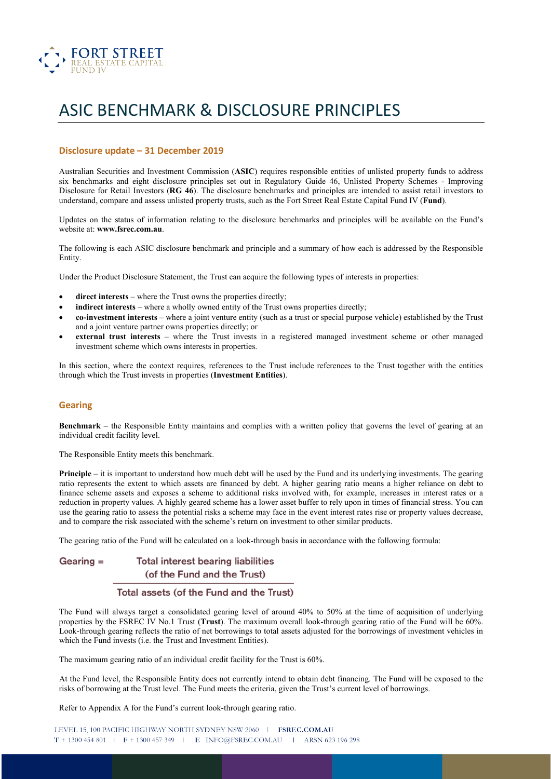

# ASIC BENCHMARK & DISCLOSURE PRINCIPLES

#### **Disclosure update – 31 December 2019**

Australian Securities and Investment Commission (**ASIC**) requires responsible entities of unlisted property funds to address six benchmarks and eight disclosure principles set out in Regulatory Guide 46, Unlisted Property Schemes - Improving Disclosure for Retail Investors (**RG 46**). The disclosure benchmarks and principles are intended to assist retail investors to understand, compare and assess unlisted property trusts, such as the Fort Street Real Estate Capital Fund IV (**Fund**).

Updates on the status of information relating to the disclosure benchmarks and principles will be available on the Fund's website at: **www.fsrec.com.au**.

The following is each ASIC disclosure benchmark and principle and a summary of how each is addressed by the Responsible Entity.

Under the Product Disclosure Statement, the Trust can acquire the following types of interests in properties:

- direct interests where the Trust owns the properties directly;
- **indirect interests** where a wholly owned entity of the Trust owns properties directly;
- **co-investment interests**  where a joint venture entity (such as a trust or special purpose vehicle) established by the Trust and a joint venture partner owns properties directly; or
- **external trust interests**  where the Trust invests in a registered managed investment scheme or other managed investment scheme which owns interests in properties.

In this section, where the context requires, references to the Trust include references to the Trust together with the entities through which the Trust invests in properties (**Investment Entities**).

#### **Gearing**

**Benchmark** – the Responsible Entity maintains and complies with a written policy that governs the level of gearing at an individual credit facility level.

The Responsible Entity meets this benchmark.

**Principle** – it is important to understand how much debt will be used by the Fund and its underlying investments. The gearing ratio represents the extent to which assets are financed by debt. A higher gearing ratio means a higher reliance on debt to finance scheme assets and exposes a scheme to additional risks involved with, for example, increases in interest rates or a reduction in property values. A highly geared scheme has a lower asset buffer to rely upon in times of financial stress. You can use the gearing ratio to assess the potential risks a scheme may face in the event interest rates rise or property values decrease, and to compare the risk associated with the scheme's return on investment to other similar products.

The gearing ratio of the Fund will be calculated on a look-through basis in accordance with the following formula:

#### **Total interest bearing liabilities** Gearing  $=$ (of the Fund and the Trust)

### Total assets (of the Fund and the Trust)

The Fund will always target a consolidated gearing level of around 40% to 50% at the time of acquisition of underlying properties by the FSREC IV No.1 Trust (**Trust**). The maximum overall look-through gearing ratio of the Fund will be 60%. Look-through gearing reflects the ratio of net borrowings to total assets adjusted for the borrowings of investment vehicles in which the Fund invests (i.e. the Trust and Investment Entities).

The maximum gearing ratio of an individual credit facility for the Trust is 60%.

At the Fund level, the Responsible Entity does not currently intend to obtain debt financing. The Fund will be exposed to the risks of borrowing at the Trust level. The Fund meets the criteria, given the Trust's current level of borrowings.

Refer to Appendix A for the Fund's current look-through gearing ratio.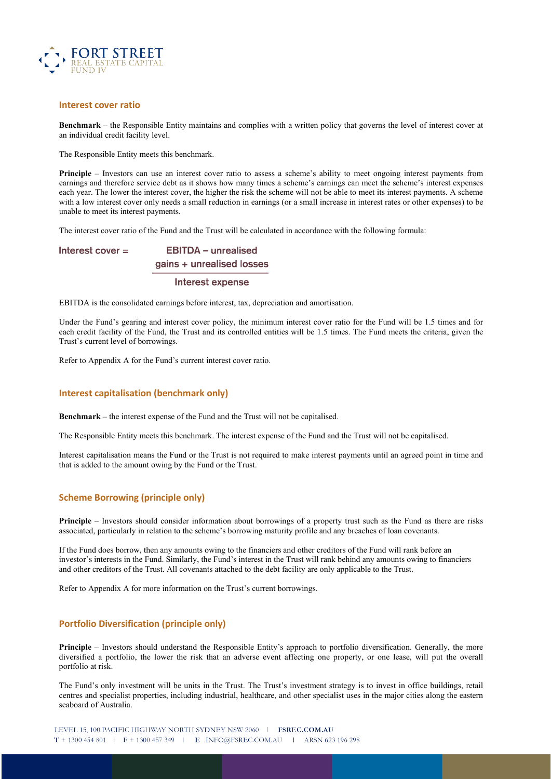

#### **Interest cover ratio**

**Benchmark** – the Responsible Entity maintains and complies with a written policy that governs the level of interest cover at an individual credit facility level.

The Responsible Entity meets this benchmark.

**Principle** – Investors can use an interest cover ratio to assess a scheme's ability to meet ongoing interest payments from earnings and therefore service debt as it shows how many times a scheme's earnings can meet the scheme's interest expenses each year. The lower the interest cover, the higher the risk the scheme will not be able to meet its interest payments. A scheme with a low interest cover only needs a small reduction in earnings (or a small increase in interest rates or other expenses) to be unable to meet its interest payments.

The interest cover ratio of the Fund and the Trust will be calculated in accordance with the following formula:

**EBITDA** - unrealised Interest cover  $=$ gains + unrealised losses

#### Interest expense

EBITDA is the consolidated earnings before interest, tax, depreciation and amortisation.

Under the Fund's gearing and interest cover policy, the minimum interest cover ratio for the Fund will be 1.5 times and for each credit facility of the Fund, the Trust and its controlled entities will be 1.5 times. The Fund meets the criteria, given the Trust's current level of borrowings.

Refer to Appendix A for the Fund's current interest cover ratio.

#### **Interest capitalisation (benchmark only)**

**Benchmark** – the interest expense of the Fund and the Trust will not be capitalised.

The Responsible Entity meets this benchmark. The interest expense of the Fund and the Trust will not be capitalised.

Interest capitalisation means the Fund or the Trust is not required to make interest payments until an agreed point in time and that is added to the amount owing by the Fund or the Trust.

#### **Scheme Borrowing (principle only)**

**Principle** – Investors should consider information about borrowings of a property trust such as the Fund as there are risks associated, particularly in relation to the scheme's borrowing maturity profile and any breaches of loan covenants.

If the Fund does borrow, then any amounts owing to the financiers and other creditors of the Fund will rank before an investor's interests in the Fund. Similarly, the Fund's interest in the Trust will rank behind any amounts owing to financiers and other creditors of the Trust. All covenants attached to the debt facility are only applicable to the Trust.

Refer to Appendix A for more information on the Trust's current borrowings.

#### **Portfolio Diversification (principle only)**

**Principle** – Investors should understand the Responsible Entity's approach to portfolio diversification. Generally, the more diversified a portfolio, the lower the risk that an adverse event affecting one property, or one lease, will put the overall portfolio at risk.

The Fund's only investment will be units in the Trust. The Trust's investment strategy is to invest in office buildings, retail centres and specialist properties, including industrial, healthcare, and other specialist uses in the major cities along the eastern seaboard of Australia.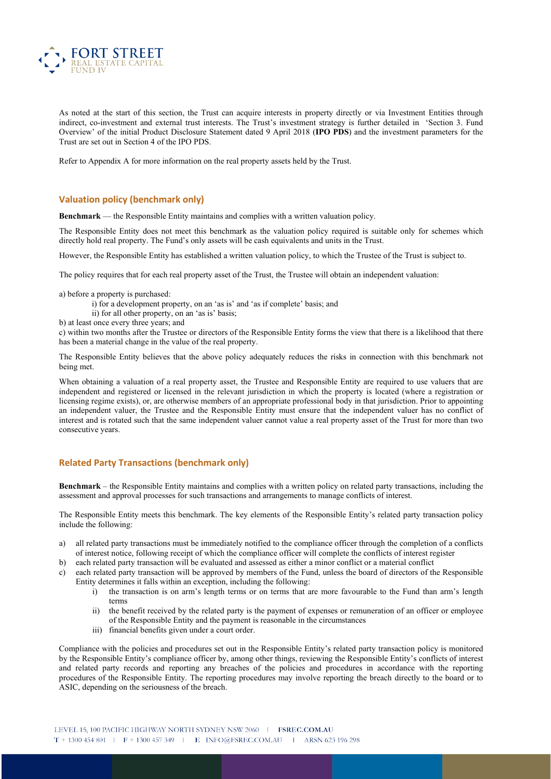

As noted at the start of this section, the Trust can acquire interests in property directly or via Investment Entities through indirect, co-investment and external trust interests. The Trust's investment strategy is further detailed in 'Section 3. Fund Overview' of the initial Product Disclosure Statement dated 9 April 2018 (**IPO PDS**) and the investment parameters for the Trust are set out in Section 4 of the IPO PDS.

Refer to Appendix A for more information on the real property assets held by the Trust.

#### **Valuation policy (benchmark only)**

**Benchmark** — the Responsible Entity maintains and complies with a written valuation policy.

The Responsible Entity does not meet this benchmark as the valuation policy required is suitable only for schemes which directly hold real property. The Fund's only assets will be cash equivalents and units in the Trust.

However, the Responsible Entity has established a written valuation policy, to which the Trustee of the Trust is subject to.

The policy requires that for each real property asset of the Trust, the Trustee will obtain an independent valuation:

a) before a property is purchased:

i) for a development property, on an 'as is' and 'as if complete' basis; and

ii) for all other property, on an 'as is' basis;

b) at least once every three years; and

c) within two months after the Trustee or directors of the Responsible Entity forms the view that there is a likelihood that there has been a material change in the value of the real property.

The Responsible Entity believes that the above policy adequately reduces the risks in connection with this benchmark not being met.

When obtaining a valuation of a real property asset, the Trustee and Responsible Entity are required to use valuers that are independent and registered or licensed in the relevant jurisdiction in which the property is located (where a registration or licensing regime exists), or, are otherwise members of an appropriate professional body in that jurisdiction. Prior to appointing an independent valuer, the Trustee and the Responsible Entity must ensure that the independent valuer has no conflict of interest and is rotated such that the same independent valuer cannot value a real property asset of the Trust for more than two consecutive years.

#### **Related Party Transactions (benchmark only)**

**Benchmark** – the Responsible Entity maintains and complies with a written policy on related party transactions, including the assessment and approval processes for such transactions and arrangements to manage conflicts of interest.

The Responsible Entity meets this benchmark. The key elements of the Responsible Entity's related party transaction policy include the following:

a) all related party transactions must be immediately notified to the compliance officer through the completion of a conflicts of interest notice, following receipt of which the compliance officer will complete the conflicts of interest register

b) each related party transaction will be evaluated and assessed as either a minor conflict or a material conflict

- c) each related party transaction will be approved by members of the Fund, unless the board of directors of the Responsible Entity determines it falls within an exception, including the following:
	- i) the transaction is on arm's length terms or on terms that are more favourable to the Fund than arm's length terms
	- ii) the benefit received by the related party is the payment of expenses or remuneration of an officer or employee of the Responsible Entity and the payment is reasonable in the circumstances
	- iii) financial benefits given under a court order.

Compliance with the policies and procedures set out in the Responsible Entity's related party transaction policy is monitored by the Responsible Entity's compliance officer by, among other things, reviewing the Responsible Entity's conflicts of interest and related party records and reporting any breaches of the policies and procedures in accordance with the reporting procedures of the Responsible Entity. The reporting procedures may involve reporting the breach directly to the board or to ASIC, depending on the seriousness of the breach.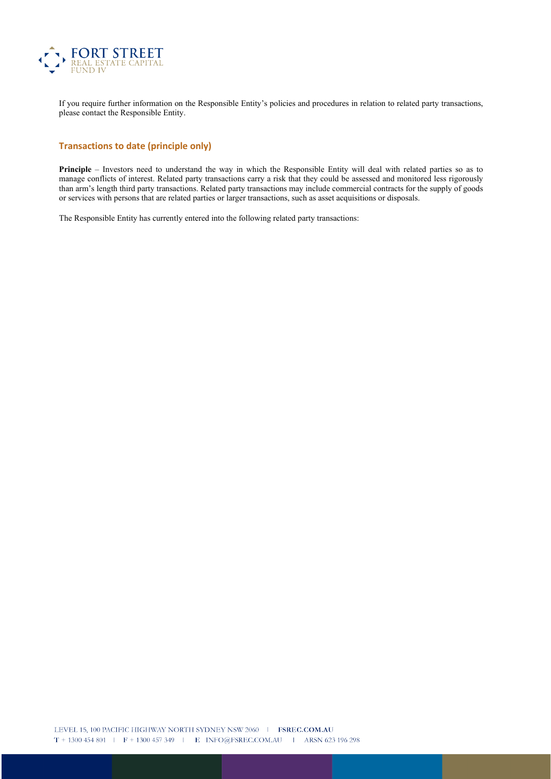

If you require further information on the Responsible Entity's policies and procedures in relation to related party transactions, please contact the Responsible Entity.

#### **Transactions to date (principle only)**

**Principle** – Investors need to understand the way in which the Responsible Entity will deal with related parties so as to manage conflicts of interest. Related party transactions carry a risk that they could be assessed and monitored less rigorously than arm's length third party transactions. Related party transactions may include commercial contracts for the supply of goods or services with persons that are related parties or larger transactions, such as asset acquisitions or disposals.

The Responsible Entity has currently entered into the following related party transactions: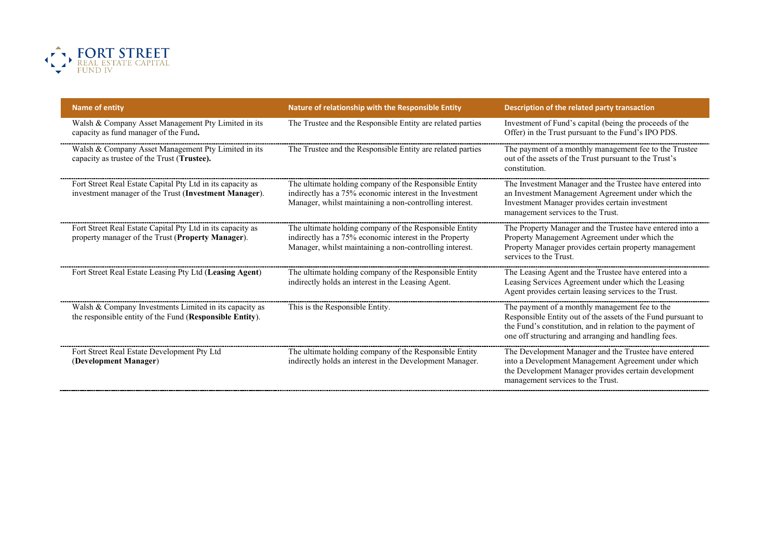

| <b>Name of entity</b>                                                                                               | Nature of relationship with the Responsible Entity                                                                                                                            | Description of the related party transaction                                                                                                                                                                                         |
|---------------------------------------------------------------------------------------------------------------------|-------------------------------------------------------------------------------------------------------------------------------------------------------------------------------|--------------------------------------------------------------------------------------------------------------------------------------------------------------------------------------------------------------------------------------|
| Walsh & Company Asset Management Pty Limited in its<br>capacity as fund manager of the Fund.                        | The Trustee and the Responsible Entity are related parties                                                                                                                    | Investment of Fund's capital (being the proceeds of the<br>Offer) in the Trust pursuant to the Fund's IPO PDS.                                                                                                                       |
| Walsh & Company Asset Management Pty Limited in its<br>capacity as trustee of the Trust (Trustee).                  | The Trustee and the Responsible Entity are related parties                                                                                                                    | The payment of a monthly management fee to the Trustee<br>out of the assets of the Trust pursuant to the Trust's<br>constitution.                                                                                                    |
| Fort Street Real Estate Capital Pty Ltd in its capacity as<br>investment manager of the Trust (Investment Manager). | The ultimate holding company of the Responsible Entity<br>indirectly has a 75% economic interest in the Investment<br>Manager, whilst maintaining a non-controlling interest. | The Investment Manager and the Trustee have entered into<br>an Investment Management Agreement under which the<br>Investment Manager provides certain investment<br>management services to the Trust.                                |
| Fort Street Real Estate Capital Pty Ltd in its capacity as<br>property manager of the Trust (Property Manager).     | The ultimate holding company of the Responsible Entity<br>indirectly has a 75% economic interest in the Property<br>Manager, whilst maintaining a non-controlling interest.   | The Property Manager and the Trustee have entered into a<br>Property Management Agreement under which the<br>Property Manager provides certain property management<br>services to the Trust.                                         |
| Fort Street Real Estate Leasing Pty Ltd (Leasing Agent)                                                             | The ultimate holding company of the Responsible Entity<br>indirectly holds an interest in the Leasing Agent.                                                                  | The Leasing Agent and the Trustee have entered into a<br>Leasing Services Agreement under which the Leasing<br>Agent provides certain leasing services to the Trust.                                                                 |
| Walsh & Company Investments Limited in its capacity as<br>the responsible entity of the Fund (Responsible Entity).  | This is the Responsible Entity.                                                                                                                                               | The payment of a monthly management fee to the<br>Responsible Entity out of the assets of the Fund pursuant to<br>the Fund's constitution, and in relation to the payment of<br>one off structuring and arranging and handling fees. |
| Fort Street Real Estate Development Pty Ltd<br>(Development Manager)                                                | The ultimate holding company of the Responsible Entity<br>indirectly holds an interest in the Development Manager.                                                            | The Development Manager and the Trustee have entered<br>into a Development Management Agreement under which<br>the Development Manager provides certain development<br>management services to the Trust.                             |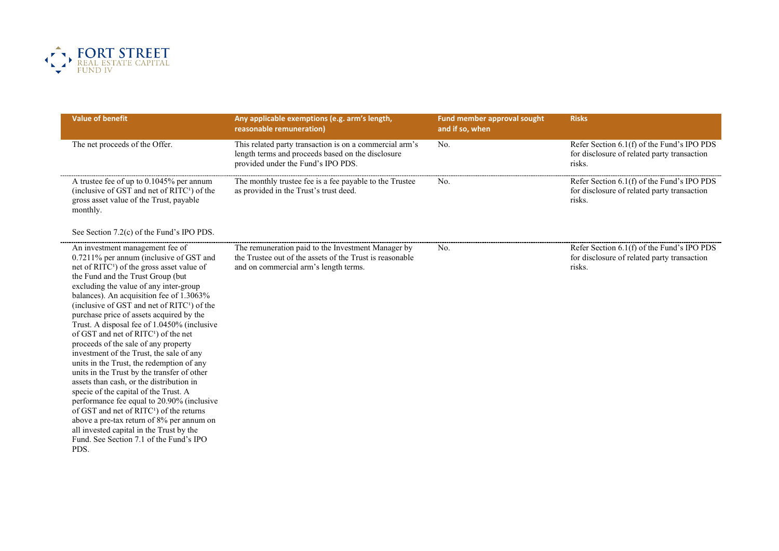

| <b>Value of benefit</b>                                                                                                                                                                                                                                                                                                                                                                                                                                                                                                                                                                                                                                                                                                                                                                                                                                                                                                                                                                          | Any applicable exemptions (e.g. arm's length,<br>reasonable remuneration)                                                                               | Fund member approval sought<br>and if so, when | <b>Risks</b>                                                                                        |
|--------------------------------------------------------------------------------------------------------------------------------------------------------------------------------------------------------------------------------------------------------------------------------------------------------------------------------------------------------------------------------------------------------------------------------------------------------------------------------------------------------------------------------------------------------------------------------------------------------------------------------------------------------------------------------------------------------------------------------------------------------------------------------------------------------------------------------------------------------------------------------------------------------------------------------------------------------------------------------------------------|---------------------------------------------------------------------------------------------------------------------------------------------------------|------------------------------------------------|-----------------------------------------------------------------------------------------------------|
| The net proceeds of the Offer.                                                                                                                                                                                                                                                                                                                                                                                                                                                                                                                                                                                                                                                                                                                                                                                                                                                                                                                                                                   | This related party transaction is on a commercial arm's<br>length terms and proceeds based on the disclosure<br>provided under the Fund's IPO PDS.      | No.                                            | Refer Section 6.1(f) of the Fund's IPO PDS<br>for disclosure of related party transaction<br>risks. |
| A trustee fee of up to 0.1045% per annum<br>(inclusive of GST and net of RITC <sup>1</sup> ) of the<br>gross asset value of the Trust, payable<br>monthly.                                                                                                                                                                                                                                                                                                                                                                                                                                                                                                                                                                                                                                                                                                                                                                                                                                       | The monthly trustee fee is a fee payable to the Trustee<br>as provided in the Trust's trust deed.                                                       | No.                                            | Refer Section 6.1(f) of the Fund's IPO PDS<br>for disclosure of related party transaction<br>risks. |
| See Section 7.2(c) of the Fund's IPO PDS.                                                                                                                                                                                                                                                                                                                                                                                                                                                                                                                                                                                                                                                                                                                                                                                                                                                                                                                                                        |                                                                                                                                                         |                                                |                                                                                                     |
| An investment management fee of<br>0.7211% per annum (inclusive of GST and<br>net of RITC <sup>1</sup> ) of the gross asset value of<br>the Fund and the Trust Group (but<br>excluding the value of any inter-group<br>balances). An acquisition fee of 1.3063%<br>(inclusive of GST and net of RITC <sup>1</sup> ) of the<br>purchase price of assets acquired by the<br>Trust. A disposal fee of 1.0450% (inclusive<br>of GST and net of RITC <sup>1</sup> ) of the net<br>proceeds of the sale of any property<br>investment of the Trust, the sale of any<br>units in the Trust, the redemption of any<br>units in the Trust by the transfer of other<br>assets than cash, or the distribution in<br>specie of the capital of the Trust. A<br>performance fee equal to 20.90% (inclusive<br>of GST and net of RITC <sup>1</sup> ) of the returns<br>above a pre-tax return of 8% per annum on<br>all invested capital in the Trust by the<br>Fund. See Section 7.1 of the Fund's IPO<br>PDS. | The remuneration paid to the Investment Manager by<br>the Trustee out of the assets of the Trust is reasonable<br>and on commercial arm's length terms. | No.                                            | Refer Section 6.1(f) of the Fund's IPO PDS<br>for disclosure of related party transaction<br>risks. |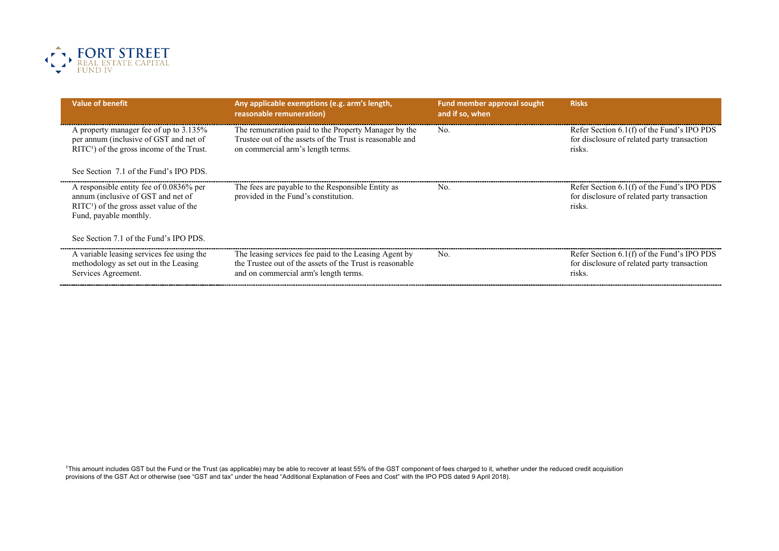

| <b>Value of benefit</b>                                                                                                                                           | Any applicable exemptions (e.g. arm's length,<br>reasonable remuneration)                                                                                  | <b>Fund member approval sought</b><br>and if so, when | <b>Risks</b>                                                                                        |
|-------------------------------------------------------------------------------------------------------------------------------------------------------------------|------------------------------------------------------------------------------------------------------------------------------------------------------------|-------------------------------------------------------|-----------------------------------------------------------------------------------------------------|
| A property manager fee of up to 3.135%<br>per annum (inclusive of GST and net of<br>$RITC1$ of the gross income of the Trust.                                     | The remuneration paid to the Property Manager by the<br>Trustee out of the assets of the Trust is reasonable and<br>on commercial arm's length terms.      | No.                                                   | Refer Section 6.1(f) of the Fund's IPO PDS<br>for disclosure of related party transaction<br>risks. |
| See Section 7.1 of the Fund's IPO PDS.                                                                                                                            |                                                                                                                                                            |                                                       |                                                                                                     |
| A responsible entity fee of $0.0836\%$ per<br>annum (inclusive of GST and net of<br>$\text{RITC}^{1}$ ) of the gross asset value of the<br>Fund, payable monthly. | The fees are payable to the Responsible Entity as<br>provided in the Fund's constitution.                                                                  | No.                                                   | Refer Section 6.1(f) of the Fund's IPO PDS<br>for disclosure of related party transaction<br>risks. |
| See Section 7.1 of the Fund's IPO PDS.                                                                                                                            |                                                                                                                                                            |                                                       |                                                                                                     |
| A variable leasing services fee using the<br>methodology as set out in the Leasing<br>Services Agreement.                                                         | The leasing services fee paid to the Leasing Agent by<br>the Trustee out of the assets of the Trust is reasonable<br>and on commercial arm's length terms. | No.                                                   | Refer Section 6.1(f) of the Fund's IPO PDS<br>for disclosure of related party transaction<br>risks. |

<sup>1</sup>This amount includes GST but the Fund or the Trust (as applicable) may be able to recover at least 55% of the GST component of fees charged to it, whether under the reduced credit acquisition provisions of the GST Act or otherwise (see "GST and tax" under the head "Additional Explanation of Fees and Cost" with the IPO PDS dated 9 April 2018).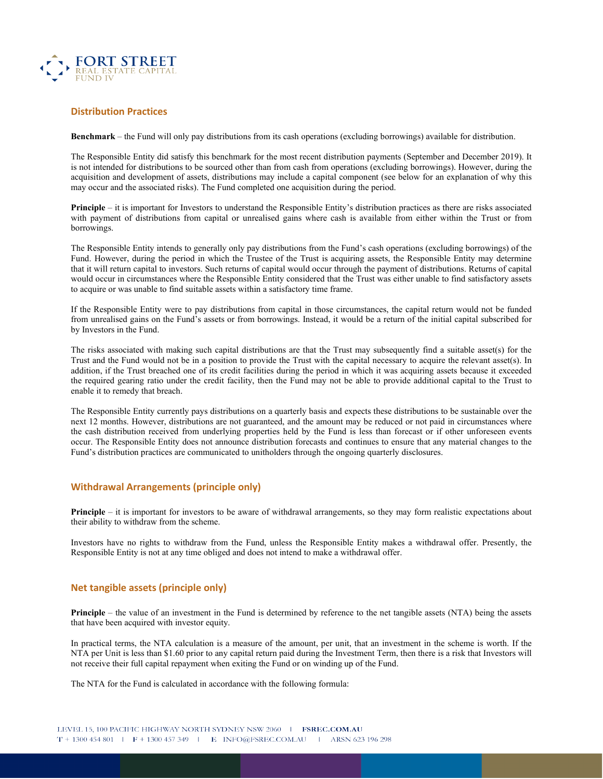

#### **Distribution Practices**

**Benchmark** – the Fund will only pay distributions from its cash operations (excluding borrowings) available for distribution.

The Responsible Entity did satisfy this benchmark for the most recent distribution payments (September and December 2019). It is not intended for distributions to be sourced other than from cash from operations (excluding borrowings). However, during the acquisition and development of assets, distributions may include a capital component (see below for an explanation of why this may occur and the associated risks). The Fund completed one acquisition during the period.

**Principle** – it is important for Investors to understand the Responsible Entity's distribution practices as there are risks associated with payment of distributions from capital or unrealised gains where cash is available from either within the Trust or from borrowings.

The Responsible Entity intends to generally only pay distributions from the Fund's cash operations (excluding borrowings) of the Fund. However, during the period in which the Trustee of the Trust is acquiring assets, the Responsible Entity may determine that it will return capital to investors. Such returns of capital would occur through the payment of distributions. Returns of capital would occur in circumstances where the Responsible Entity considered that the Trust was either unable to find satisfactory assets to acquire or was unable to find suitable assets within a satisfactory time frame.

If the Responsible Entity were to pay distributions from capital in those circumstances, the capital return would not be funded from unrealised gains on the Fund's assets or from borrowings. Instead, it would be a return of the initial capital subscribed for by Investors in the Fund.

The risks associated with making such capital distributions are that the Trust may subsequently find a suitable asset(s) for the Trust and the Fund would not be in a position to provide the Trust with the capital necessary to acquire the relevant asset(s). In addition, if the Trust breached one of its credit facilities during the period in which it was acquiring assets because it exceeded the required gearing ratio under the credit facility, then the Fund may not be able to provide additional capital to the Trust to enable it to remedy that breach.

The Responsible Entity currently pays distributions on a quarterly basis and expects these distributions to be sustainable over the next 12 months. However, distributions are not guaranteed, and the amount may be reduced or not paid in circumstances where the cash distribution received from underlying properties held by the Fund is less than forecast or if other unforeseen events occur. The Responsible Entity does not announce distribution forecasts and continues to ensure that any material changes to the Fund's distribution practices are communicated to unitholders through the ongoing quarterly disclosures.

#### **Withdrawal Arrangements (principle only)**

**Principle** – it is important for investors to be aware of withdrawal arrangements, so they may form realistic expectations about their ability to withdraw from the scheme.

Investors have no rights to withdraw from the Fund, unless the Responsible Entity makes a withdrawal offer. Presently, the Responsible Entity is not at any time obliged and does not intend to make a withdrawal offer.

#### **Net tangible assets (principle only)**

**Principle** – the value of an investment in the Fund is determined by reference to the net tangible assets (NTA) being the assets that have been acquired with investor equity.

In practical terms, the NTA calculation is a measure of the amount, per unit, that an investment in the scheme is worth. If the NTA per Unit is less than \$1.60 prior to any capital return paid during the Investment Term, then there is a risk that Investors will not receive their full capital repayment when exiting the Fund or on winding up of the Fund.

The NTA for the Fund is calculated in accordance with the following formula: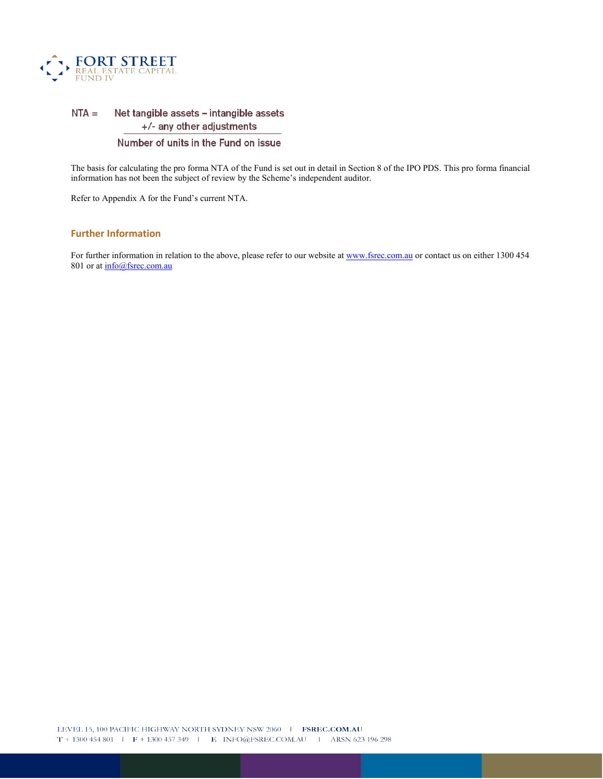

#### $NTA =$ Net tangible assets - intangible assets +/- any other adjustments

#### Number of units in the Fund on issue

The basis for calculating the pro forma NTA of the Fund is set out in detail in Section 8 of the IPO PDS. This pro forma financial information has not been the subject of review by the Scheme's independent auditor.

Refer to Appendix A for the Fund's current NTA.

## **Further Information**

For further information in relation to the above, please refer to our website at [www.fsrec.com.au](http://www.fsrec.com.au/) or contact us on either 1300 454 801 or at  $info@f$ srec.com.au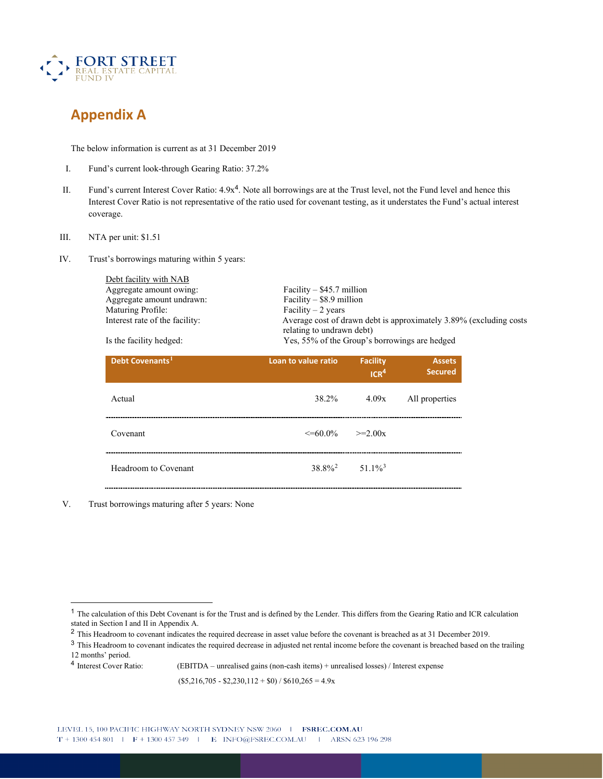

# **Appendix A**

The below information is current as at 31 December 2019

- I. Fund's current look-through Gearing Ratio: 37.2%
- II. Fund's current Interest Cover Ratio: 4.9x4. Note all borrowings are at the Trust level, not the Fund level and hence this Interest Cover Ratio is not representative of the ratio used for covenant testing, as it understates the Fund's actual interest coverage.
- III. NTA per unit: \$1.51
- IV. Trust's borrowings maturing within 5 years:

Debt facility with NAB Aggregate amount owing: Facility – \$45.7 million<br>Aggregate amount undrawn: Facility – \$8.9 million Aggregate amount undrawn: Facility – \$8.9 min<br>Maturing Profile: Facility – 2 years Maturing Profile:

Interest rate of the facility: Average cost of drawn debt is approximately 3.89% (excluding costs relating to undrawn debt) Is the facility hedged: Yes, 55% of the Group's borrowings are hedged

| Debt Covenants <sup>1</sup> | Loan to value ratio        | <b>Facility</b><br>ICR <sup>4</sup> | <b>Assets</b><br><b>Secured</b> |
|-----------------------------|----------------------------|-------------------------------------|---------------------------------|
| Actual                      | 38.2%                      | 4.09x                               | All properties                  |
| Covenant                    | $\leq 60.0\%$ $\geq 2.00x$ |                                     |                                 |
| Headroom to Covenant        | $38.8\%^2$                 | $51.1\%$ <sup>3</sup>               |                                 |

V. Trust borrowings maturing after 5 years: None

<sup>4</sup> Interest Cover Ratio: (EBITDA – unrealised gains (non-cash items) + unrealised losses) / Interest expense

 $($5,216,705 - $2,230,112 + $0) / $610,265 = 4.9x$ 

<span id="page-9-0"></span><sup>1</sup> The calculation of this Debt Covenant is for the Trust and is defined by the Lender. This differs from the Gearing Ratio and ICR calculation stated in Section I and II in Appendix A.

<span id="page-9-1"></span><sup>&</sup>lt;sup>2</sup> This Headroom to covenant indicates the required decrease in asset value before the covenant is breached as at 31 December 2019.

<span id="page-9-2"></span><sup>&</sup>lt;sup>3</sup> This Headroom to covenant indicates the required decrease in adjusted net rental income before the covenant is breached based on the trailing 12 months' period.